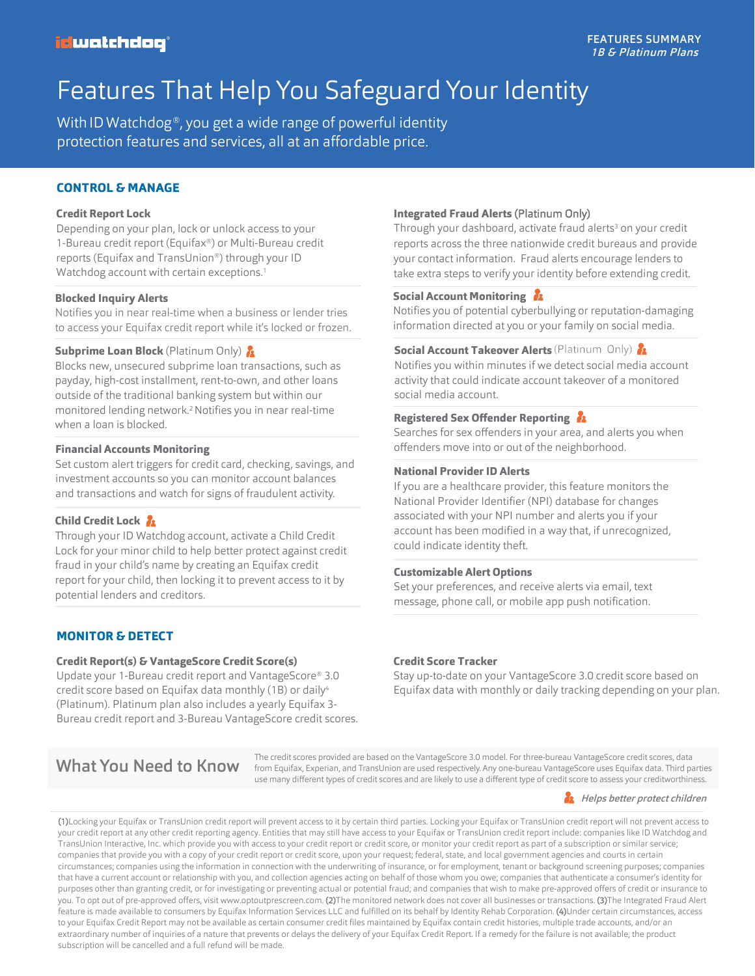# Features That Help You Safeguard Your Identity

With ID Watchdog<sup>®</sup>, you get a wide range of powerful identity protection features and services, all at an affordable price.

#### **CONTROL& MANAGE**

#### **Credit Report Lock**

Depending on your plan, lock or unlock access to your 1-Bureau credit report (Equifax®) or Multi-Bureau credit reports (Equifax and TransUnion®) through your ID Watchdog account with certain exceptions.<sup>1</sup>

#### **Blocked Inquiry Alerts**

Notifies you in near real-time when a business or lender tries to access your Equifax credit report while it's locked or frozen.

#### **Subprime Loan Block** (Platinum Only) 2

Blocks new, unsecured subprime loan transactions, such as payday, high-cost installment, rent-to-own, and other loans outside of the traditional banking system but within our monitored lending network.<sup>2</sup> Notifies you in near real-time when a loan is blocked.

#### **Financial Accounts Monitoring**

Set custom alert triggers for credit card, checking, savings, and investment accounts so you can monitor account balances and transactions and watch for signs of fraudulent activity.

#### **Child Credit Lock**

Through your ID Watchdog account, activate a Child Credit Lock for your minor child to help better protect against credit fraud in your child's name by creating an Equifax credit report for your child, then locking it to prevent access to it by potential lenders and creditors.

#### **MONITOR & DETECT**

#### **Credit Report(s) & VantageScore Credit Score(s)**

Update your 1-Bureau credit report and VantageScore® 3.0 credit score based on Equifax data monthly (1B) or daily<sup>4</sup> (Platinum). Platinum plan also includes a yearly Equifax 3- Bureau credit report and 3-Bureau VantageScore credit scores.

#### **Integrated Fraud Alerts** (Platinum Only)

Through your dashboard, activate fraud alerts<sup>3</sup> on your credit reports across the three nationwide credit bureaus and provide your contact information. Fraud alerts encourage lenders to take extra steps to verify your identity before extending credit.

#### **Social Account Monitoring**

Notifies you of potential cyberbullying or reputation-damaging information directed at you or your family on social media.

#### **Social Account Takeover Alerts (Platin**

Notifies you within minutes if we detect social media account activity that could indicate account takeover of a monitored social media account.

#### **Registered Sex Offender Reporting**

Searches for sex offenders in your area, and alerts you when offenders move into or out of the neighborhood.

#### **National Provider ID Alerts**

If you are a healthcare provider, this feature monitors the National Provider Identifier (NPI) database for changes associated with your NPI number and alerts you if your account has been modified in a way that, if unrecognized, could indicate identity theft.

#### **Customizable Alert Options**

Set your preferences, and receive alerts via email, text message, phone call, or mobile app push notification.

#### **Credit Score Tracker**

Stay up-to-date on your VantageScore 3.0 credit score based on Equifax data with monthly or daily tracking depending on your plan.

The credit scores provided are based on the VantageScore 3.0 model. For three-bureau VantageScore credit scores, data<br>What You Need to Know from Equifax, Experian, and TransUnion are used respectively. Any one-bureau Vanta use many different types of credit scores and are likely to use a different type of credit score to assess your creditworthiness.

#### **R** Helps better protect children

(1)Locking your Equifax or TransUnion credit report will prevent access to it by certain third parties. Locking your Equifax or TransUnion credit report will not prevent access to your credit report at any other credit reporting agency. Entities that may still have access to your Equifax or TransUnion credit report include: companies like ID Watchdog and TransUnion Interactive, Inc. which provide you with access to your credit report or credit score, or monitor your credit report as part of a subscription or similar service; companies that provide you with a copy of your credit report or credit score, upon your request; federal, state, and local government agencies and courts in certain circumstances; companies using the information in connection with the underwriting of insurance, or for employment, tenant or background screening purposes; companies that have a current account or relationship with you, and collection agencies acting on behalf of those whom you owe; companies that authenticate a consumer's identity for purposes other than granting credit, or for investigating or preventing actual or potential fraud; and companies that wish to make pre-approved offers of credit or insurance to you. To opt out of pre-approved offers, visit www.optoutprescreen.com. (2)The monitored network does not cover all businesses or transactions. (3)The Integrated Fraud Alert feature is made available to consumers by Equifax Information Services LLC and fulfilled on its behalf by Identity Rehab Corporation. (4)Under certain circumstances, access to your Equifax Credit Report may not be available as certain consumer credit files maintained by Equifax contain credit histories, multiple trade accounts, and/or an extraordinary number of inquiries of a nature that prevents or delays the delivery of your Equifax Credit Report. If a remedy for the failure is not available, the product subscription will be cancelled and a full refund will be made.